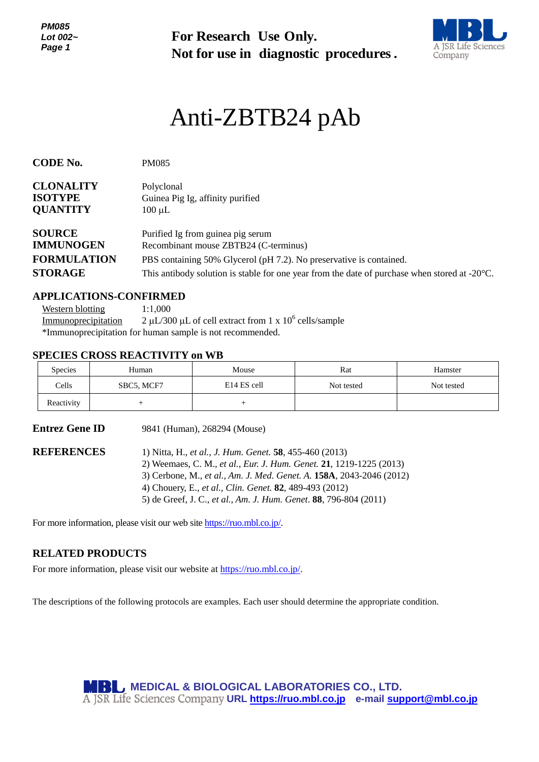*PM085 Lot 002~ Page 1*

**For Research Use Only. Not for use in diagnostic procedures.**



# Anti-ZBTB24 pAb

| <b>CODE No.</b>                                                                           | <b>PM085</b>                                                                                            |  |  |
|-------------------------------------------------------------------------------------------|---------------------------------------------------------------------------------------------------------|--|--|
| <b>CLONALITY</b><br><b>ISOTYPE</b><br><b>QUANTITY</b>                                     | Polyclonal<br>Guinea Pig Ig, affinity purified<br>$100 \mu L$                                           |  |  |
| <b>SOURCE</b><br><b>IMMUNOGEN</b>                                                         | Purified Ig from guinea pig serum<br>Recombinant mouse ZBTB24 (C-terminus)                              |  |  |
| <b>FORMULATION</b><br>PBS containing 50% Glycerol (pH 7.2). No preservative is contained. |                                                                                                         |  |  |
| <b>STORAGE</b>                                                                            | This antibody solution is stable for one year from the date of purchase when stored at $-20^{\circ}$ C. |  |  |

#### **APPLICATIONS-CONFIRMED**

Western blotting 1:1,000 Immunoprecipitation  $\mu$ L/300  $\mu$ L of cell extract from 1 x 10<sup>6</sup> cells/sample \*Immunoprecipitation for human sample is not recommended.

## **SPECIES CROSS REACTIVITY on WB**

| <b>Species</b> | Human      | Mouse                   | Rat        | Hamster    |
|----------------|------------|-------------------------|------------|------------|
| Cells          | SBC5, MCF7 | E <sub>14</sub> ES cell | Not tested | Not tested |
| Reactivity     |            |                         |            |            |

**Entrez Gene ID** 9841 (Human), 268294 (Mouse)

**REFERENCES** 1) Nitta, H., *et al., J. Hum. Genet.* **58**, 455-460 (2013) 2) Weemaes, C. M., *et al., Eur. J. Hum. Genet.* **21**, 1219-1225 (2013) 3) Cerbone, M., *et al., Am. J. Med. Genet. A.* **158A**, 2043-2046 (2012) 4) Chouery, E., *et al., Clin. Genet.* **82**, 489-493 (2012) 5) de Greef, J. C., *et al., Am. J. Hum. Genet*. **88**, 796-804 (2011)

For more information, please visit our web site [https://ruo.mbl.co.jp/.](https://ruo.mbl.co.jp/)

## **RELATED PRODUCTS**

For more information, please visit our website at [https://ruo.mbl.co.jp/.](https://ruo.mbl.co.jp/)

The descriptions of the following protocols are examples. Each user should determine the appropriate condition.

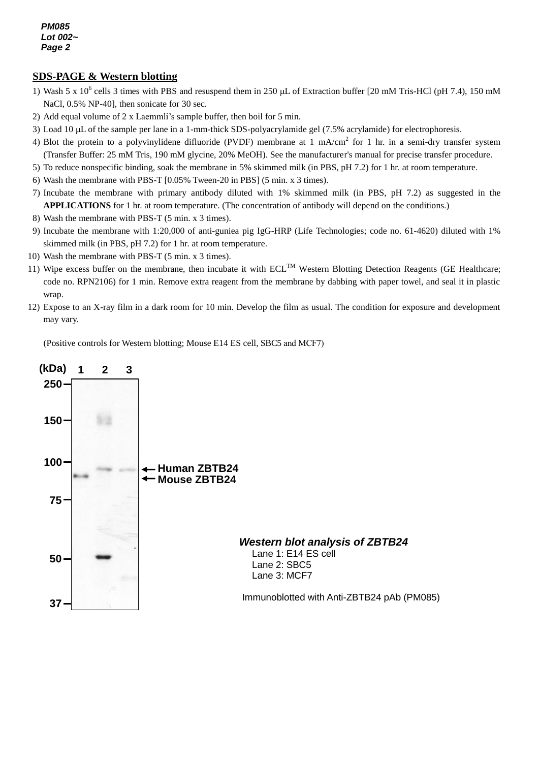*PM085 Lot 002~ Page 2*

# *g* **SDS-PAGE & Western blotting**

- 1) Wash 5 x 10<sup>6</sup> cells 3 times with PBS and resuspend them in 250 µL of Extraction buffer [20 mM Tris-HCl (pH 7.4), 150 mM NaCl, 0.5% NP-40], then sonicate for 30 sec.
- *3* 2) Add equal volume of 2 x Laemmli's sample buffer, then boil for 5 min.
- 3) Load 10 µL of the sample per lane in a 1-mm-thick SDS-polyacrylamide gel (7.5% acrylamide) for electrophoresis.
- 4) Blot the protein to a polyvinylidene difluoride (PVDF) membrane at 1 mA/cm<sup>2</sup> for 1 hr. in a semi-dry transfer system (Transfer Buffer: 25 mM Tris, 190 mM glycine, 20% MeOH). See the manufacturer's manual for precise transfer procedure.
- 5) To reduce nonspecific binding, soak the membrane in 5% skimmed milk (in PBS, pH 7.2) for 1 hr. at room temperature.
- 6) Wash the membrane with PBS-T [0.05% Tween-20 in PBS] (5 min. x 3 times).
- 7) Incubate the membrane with primary antibody diluted with 1% skimmed milk (in PBS, pH 7.2) as suggested in the **APPLICATIONS** for 1 hr. at room temperature. (The concentration of antibody will depend on the conditions.)
- 8) Wash the membrane with PBS-T (5 min. x 3 times).
- 9) Incubate the membrane with 1:20,000 of anti-guniea pig IgG-HRP (Life Technologies; code no. 61-4620) diluted with 1% skimmed milk (in PBS, pH 7.2) for 1 hr. at room temperature.
- 10) Wash the membrane with PBS-T (5 min. x 3 times).
- 11) Wipe excess buffer on the membrane, then incubate it with  $ECL^{TM}$  Western Blotting Detection Reagents (GE Healthcare; code no. RPN2106) for 1 min. Remove extra reagent from the membrane by dabbing with paper towel, and seal it in plastic wrap.
- 12) Expose to an X-ray film in a dark room for 10 min. Develop the film as usual. The condition for exposure and development may vary.

(Positive controls for Western blotting; Mouse E14 ES cell, SBC5 and MCF7)